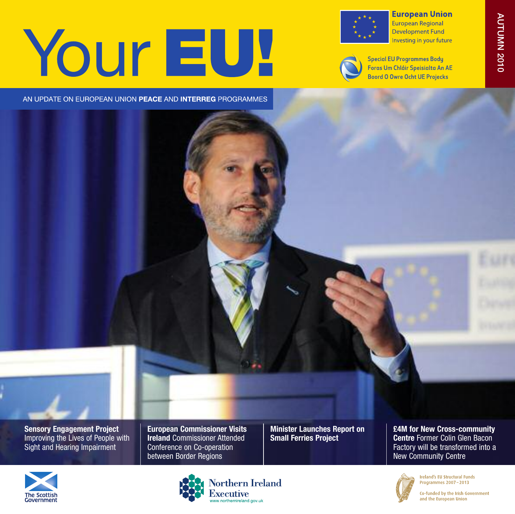# Your EU!



**European Union** European Regional **Development Fund** Investing in your future



**Special EU Programmes Bodu** Foras Um Chláir Speisialta An AE **Boord O Owre Ocht UE Projecks** 

AN UPDATE ON EUROPEAN UNION PEACE AND INTERREG PROGRAMMES



**Sensory Engagement Project** Improving the Lives of People with Sight and Hearing Impairment

**European Commissioner Visits Ireland** Commissioner Attended Conference on Co-operation between Border Regions

**Minister Launches Report on Small Ferries Project**

**£4M for New Cross-community Centre** Former Colin Glen Bacon Factory will be transformed into a New Community Centre









Co-funded by the Irish Government and the European Union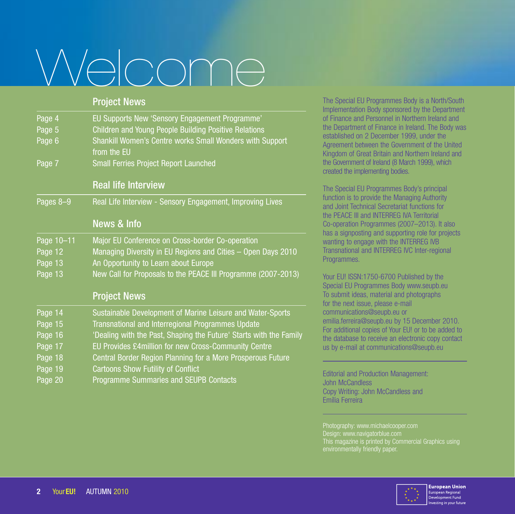# Welcome

| <b>Project News</b>                                                     |
|-------------------------------------------------------------------------|
| EU Supports New 'Sensory Engagement Programme'                          |
| Children and Young People Building Positive Relations                   |
| Shankill Women's Centre works Small Wonders with Support<br>from the EU |
| <b>Small Ferries Project Report Launched</b>                            |
| <b>Real life Interview</b>                                              |
| Real Life Interview - Sensory Engagement, Improving Lives               |
| <b>News &amp; Info</b>                                                  |
| Major EU Conference on Cross-border Co-operation                        |
| Managing Diversity in EU Regions and Cities - Open Days 2010            |
| An Opportunity to Learn about Europe                                    |
| New Call for Proposals to the PEACE III Programme (2007-2013)           |
| <b>Project News</b>                                                     |
| Sustainable Development of Marine Leisure and Water-Sports              |
| Transnational and Interregional Programmes Update                       |
| 'Dealing with the Past, Shaping the Future' Starts with the Family      |
| EU Provides £4million for new Cross-Community Centre                    |
| Central Border Region Planning for a More Prosperous Future             |
| <b>Cartoons Show Futility of Conflict</b>                               |
|                                                                         |

Page 20 Programme Summaries and SEUPB Contacts

The Special EU Programmes Body is a North/South Implementation Body sponsored by the Department of Finance and Personnel in Northern Ireland and the Department of Finance in Ireland. The Body was established on 2 December 1999, under the Agreement between the Government of the United Kingdom of Great Britain and Northern Ireland and the Government of Ireland (8 March 1999), which created the implementing bodies.

The Special EU Programmes Body's principal function is to provide the Managing Authority and Joint Technical Secretariat functions for the PEACE III and INTERREG IVA Territorial Co-operation Programmes (2007–2013). It also has a signposting and supporting role for projects wanting to engage with the INTERREG IVB Transnational and INTERREG IVC Inter-regional Programmes.

Your EU! ISSN:1750-6700 Published by the Special EU Programmes Body www.seupb.eu To submit ideas, material and photographs for the next issue, please e-mail communications@seupb.eu or emilia.ferreira@seupb.eu by 15 December 2010. For additional copies of Your EU! or to be added to the database to receive an electronic copy contact us by e-mail at communications@seupb.eu

Editorial and Production Management: John McCandless Copy Writing: John McCandless and Emília Ferreira

Photography: www.michaelcooper.com

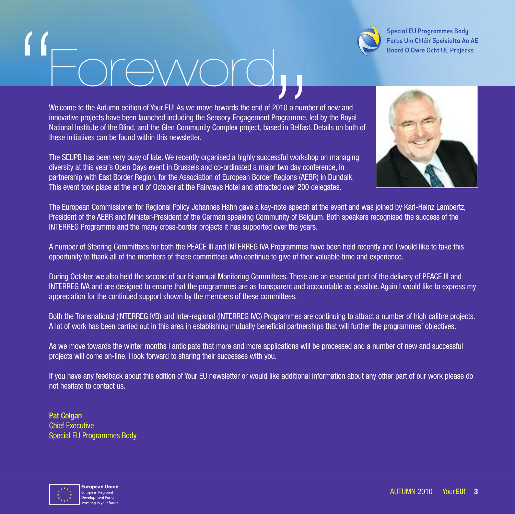

**Special EU Programmes Bodu** Foras Um Chláir Speisialta An AE **Boord O Owre Ocht UE Projecks** 

# oreword "

Welcome to the Autumn edition of Your EU! As we move towards the end of 2010 a number of new and innovative projects have been launched including the Sensory Engagement Programme, led by the Royal National Institute of the Blind, and the Glen Community Complex project, based in Belfast. Details on both of these initiatives can be found within this newsletter. 2010 a numl<br>Programme,<br>Bed in Belfast<br>Sesful workships and a sessful<br>Prime and a sessful workships and a set of a set of a set of a set of a set of a set of a set of a set of a set of a set of a set of a set of a set of a

The SEUPB has been very busy of late. We recently organised a highly successful workshop on managing diversity at this year's Open Days event in Brussels and co-ordinated a major two day conference, in partnership with East Border Region, for the Association of European Border Regions (AEBR) in Dundalk. This event took place at the end of October at the Fairways Hotel and attracted over 200 delegates.



The European Commissioner for Regional Policy Johannes Hahn gave a key-note speech at the event and was joined by Karl-Heinz Lambertz, President of the AEBR and Minister-President of the German speaking Community of Belgium. Both speakers recognised the success of the INTERREG Programme and the many cross-border projects it has supported over the years.

A number of Steering Committees for both the PEACE III and INTERREG IVA Programmes have been held recently and I would like to take this opportunity to thank all of the members of these committees who continue to give of their valuable time and experience.

During October we also held the second of our bi-annual Monitoring Committees. These are an essential part of the delivery of PEACE III and INTERREG IVA and are designed to ensure that the programmes are as transparent and accountable as possible. Again I would like to express my appreciation for the continued support shown by the members of these committees.

Both the Transnational (INTERREG IVB) and Inter-regional (INTERREG IVC) Programmes are continuing to attract a number of high calibre projects. A lot of work has been carried out in this area in establishing mutually beneficial partnerships that will further the programmes' objectives.

As we move towards the winter months I anticipate that more and more applications will be processed and a number of new and successful projects will come on-line. I look forward to sharing their successes with you.

If you have any feedback about this edition of Your EU newsletter or would like additional information about any other part of our work please do not hesitate to contact us.

**Pat Colgan** Chief Executive Special EU Programmes Body

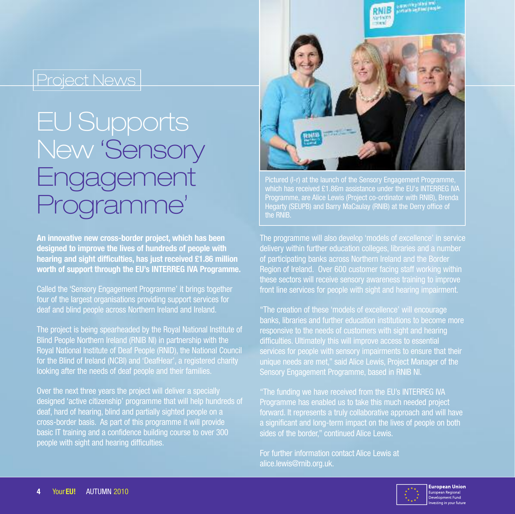# EU Supports New 'Sensory Engagement portamme'

**An innovative new cross-border project, which has been designed to improve the lives of hundreds of people with hearing and sight difficulties, has just received £1.86 million worth of support through the EU's INTERREG IVA Programme.**

Called the 'Sensory Engagement Programme' it brings together four of the largest organisations providing support services for deaf and blind people across Northern Ireland and Ireland.

The project is being spearheaded by the Royal National Institute of Blind People Northern Ireland (RNIB NI) in partnership with the Royal National Institute of Deaf People (RNID), the National Council for the Blind of Ireland (NCBI) and 'DeafHear', a registered charity looking after the needs of deaf people and their families.

Over the next three years the project will deliver a specially designed 'active citizenship' programme that will help hundreds of deaf, hard of hearing, blind and partially sighted people on a cross-border basis. As part of this programme it will provide basic IT training and a confidence building course to over 300 people with sight and hearing difficulties.



Pictured (I-r) at the launch of the Sensory Engagement Programme. which has received £1.86m assistance under the EU's INTERREG IVA Programme, are Alice Lewis (Project co-ordinator with RNIB), Brenda Hegarty (SEUPB) and Barry MaCaulay (RNIB) at the Derry office of the RNIB.

The programme will also develop 'models of excellence' in service delivery within further education colleges, libraries and a number of participating banks across Northern Ireland and the Border Region of Ireland. Over 600 customer facing staff working within these sectors will receive sensory awareness training to improve front line services for people with sight and hearing impairment.

"The creation of these 'models of excellence' will encourage banks, libraries and further education institutions to become more responsive to the needs of customers with sight and hearing difficulties. Ultimately this will improve access to essential services for people with sensory impairments to ensure that their unique needs are met," said Alice Lewis, Project Manager of the Sensory Engagement Programme, based in RNIB NI.

"The funding we have received from the EU's INTERREG IVA Programme has enabled us to take this much needed project forward. It represents a truly collaborative approach and will have a significant and long-term impact on the lives of people on both sides of the border," continued Alice Lewis.

For further information contact Alice Lewis at alice.lewis@rnib.org.uk.

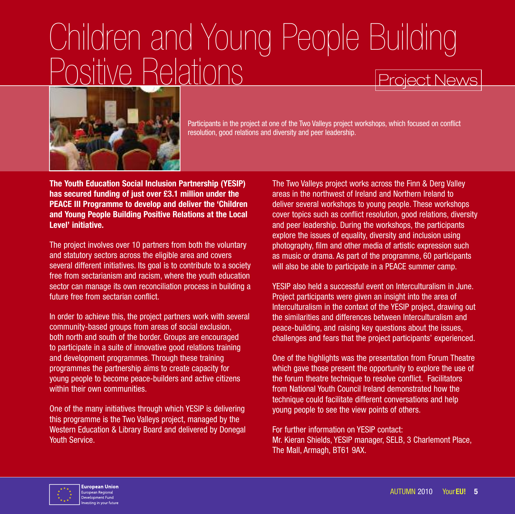## Project News Children and Young People Building sitive Relations



Participants in the project at one of the Two Valleys project workshops, which focused on conflict resolution, good relations and diversity and peer leadership.

**The Youth Education Social Inclusion Partnership (YESIP) has secured funding of just over £3.1 million under the PEACE III Programme to develop and deliver the 'Children and Young People Building Positive Relations at the Local Level' initiative.**

The project involves over 10 partners from both the voluntary and statutory sectors across the eligible area and covers several different initiatives. Its goal is to contribute to a society free from sectarianism and racism, where the youth education sector can manage its own reconciliation process in building a future free from sectarian conflict.

In order to achieve this, the project partners work with several community-based groups from areas of social exclusion, both north and south of the border. Groups are encouraged to participate in a suite of innovative good relations training and development programmes. Through these training programmes the partnership aims to create capacity for young people to become peace-builders and active citizens within their own communities.

One of the many initiatives through which YESIP is delivering this programme is the Two Valleys project, managed by the Western Education & Library Board and delivered by Donegal Youth Service.

The Two Valleys project works across the Finn & Derg Valley areas in the northwest of Ireland and Northern Ireland to deliver several workshops to young people. These workshops cover topics such as conflict resolution, good relations, diversity and peer leadership. During the workshops, the participants explore the issues of equality, diversity and inclusion using photography, film and other media of artistic expression such as music or drama. As part of the programme, 60 participants will also be able to participate in a PEACE summer camp.

YESIP also held a successful event on Interculturalism in June. Project participants were given an insight into the area of Interculturalism in the context of the YESIP project, drawing out the similarities and differences between Interculturalism and peace-building, and raising key questions about the issues, challenges and fears that the project participants' experienced.

One of the highlights was the presentation from Forum Theatre which gave those present the opportunity to explore the use of the forum theatre technique to resolve conflict. Facilitators from National Youth Council Ireland demonstrated how the technique could facilitate different conversations and help young people to see the view points of others.

For further information on YESIP contact: Mr. Kieran Shields, YESIP manager, SELB, 3 Charlemont Place, The Mall, Armagh, BT61 9AX.

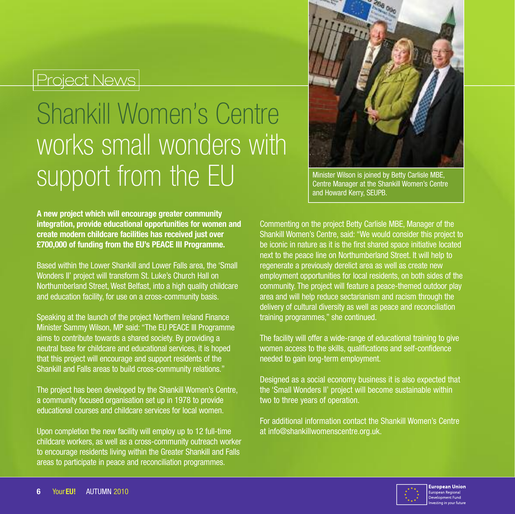# Shankill Women's Centre works small wonders with SUDDOIT from the EU Minister Wilson is joined by Betty Carlisle MBE,



Centre Manager at the Shankill Women's Centre and Howard Kerry, SEUPB.

**A new project which will encourage greater community integration, provide educational opportunities for women and create modern childcare facilities has received just over £700,000 of funding from the EU's PEACE III Programme.**

Based within the Lower Shankill and Lower Falls area, the 'Small Wonders II' project will transform St. Luke's Church Hall on Northumberland Street, West Belfast, into a high quality childcare and education facility, for use on a cross-community basis.

Speaking at the launch of the project Northern Ireland Finance Minister Sammy Wilson, MP said: "The EU PEACE III Programme aims to contribute towards a shared society. By providing a neutral base for childcare and educational services, it is hoped that this project will encourage and support residents of the Shankill and Falls areas to build cross-community relations."

The project has been developed by the Shankill Women's Centre, a community focused organisation set up in 1978 to provide educational courses and childcare services for local women.

Upon completion the new facility will employ up to 12 full-time childcare workers, as well as a cross-community outreach worker to encourage residents living within the Greater Shankill and Falls areas to participate in peace and reconciliation programmes.

Commenting on the project Betty Carlisle MBE, Manager of the Shankill Women's Centre, said: "We would consider this project to be iconic in nature as it is the first shared space initiative located next to the peace line on Northumberland Street. It will help to regenerate a previously derelict area as well as create new employment opportunities for local residents, on both sides of the community. The project will feature a peace-themed outdoor play area and will help reduce sectarianism and racism through the delivery of cultural diversity as well as peace and reconciliation training programmes," she continued.

The facility will offer a wide-range of educational training to give women access to the skills, qualifications and self-confidence needed to gain long-term employment.

Designed as a social economy business it is also expected that the 'Small Wonders II' project will become sustainable within two to three years of operation.

For additional information contact the Shankill Women's Centre at info@shankillwomenscentre.org.uk.

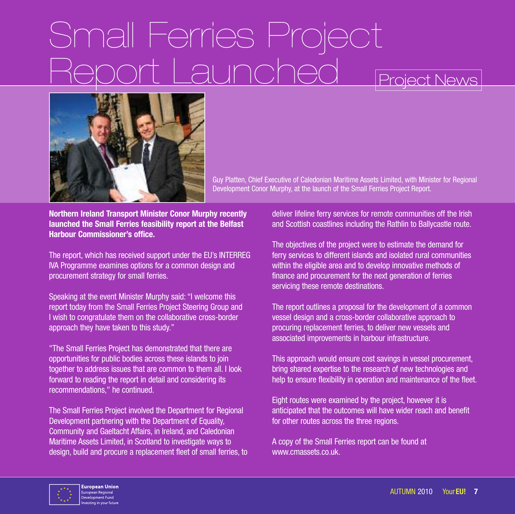# Small Ferries Project

### Project News



Guy Platten, Chief Executive of Caledonian Maritime Assets Limited, with Minister for Regional Development Conor Murphy, at the launch of the Small Ferries Project Report.

**Northern Ireland Transport Minister Conor Murphy recently launched the Small Ferries feasibility report at the Belfast Harbour Commissioner's office.**

The report, which has received support under the EU's INTERREG IVA Programme examines options for a common design and procurement strategy for small ferries.

Speaking at the event Minister Murphy said: "I welcome this report today from the Small Ferries Project Steering Group and I wish to congratulate them on the collaborative cross-border approach they have taken to this study."

"The Small Ferries Project has demonstrated that there are opportunities for public bodies across these islands to join together to address issues that are common to them all. I look forward to reading the report in detail and considering its recommendations," he continued.

The Small Ferries Project involved the Department for Regional Development partnering with the Department of Equality, Community and Gaeltacht Affairs, in Ireland, and Caledonian Maritime Assets Limited, in Scotland to investigate ways to design, build and procure a replacement fleet of small ferries, to deliver lifeline ferry services for remote communities off the Irish and Scottish coastlines including the Rathlin to Ballycastle route.

The objectives of the project were to estimate the demand for ferry services to different islands and isolated rural communities within the eligible area and to develop innovative methods of finance and procurement for the next generation of ferries servicing these remote destinations.

The report outlines a proposal for the development of a common vessel design and a cross-border collaborative approach to procuring replacement ferries, to deliver new vessels and associated improvements in harbour infrastructure.

This approach would ensure cost savings in vessel procurement, bring shared expertise to the research of new technologies and help to ensure flexibility in operation and maintenance of the fleet.

Eight routes were examined by the project, however it is anticipated that the outcomes will have wider reach and benefit for other routes across the three regions.

A copy of the Small Ferries report can be found at www.cmassets.co.uk

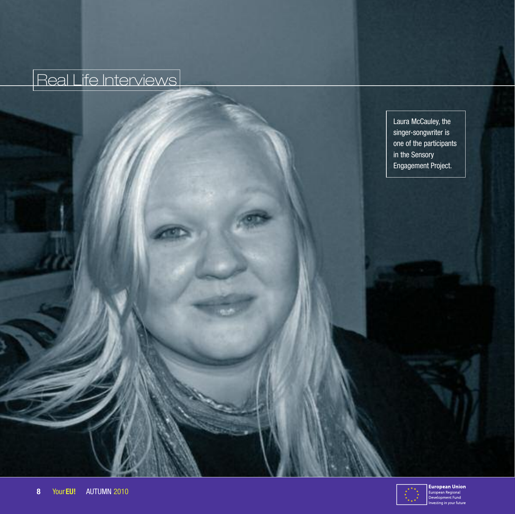## Real Life Interviews

Laura McCauley, the singer-songwriter is one of the participants in the Sensory Engagement Project.

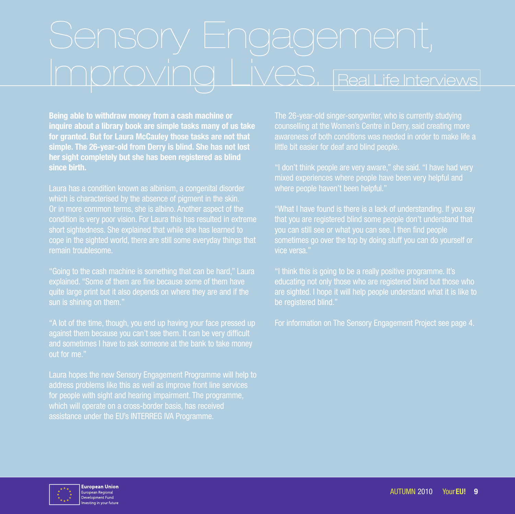# Improving Lives, real Life Interviews

**Being able to withdraw money from a cash machine or inquire about a library book are simple tasks many of us take for granted. But for Laura McCauley those tasks are not that simple. The 26-year-old from Derry is blind. She has not lost her sight completely but she has been registered as blind since birth.**

which is characterised by the absence of pigment in the skin. Or in more common terms, she is albino. Another aspect of the condition is very poor vision. For Laura this has resulted in extreme short sightedness. She explained that while she has learned to cope in the sighted world, there are still some everyday things that remain troublesome.

"Going to the cash machine is something that can be hard," Laura quite large print but it also depends on where they are and if the sun is shining on them."

"A lot of the time, though, you end up having your face pressed up against them because you can't see them. It can be very difficult and sometimes I have to ask someone at the bank to take money out for me."

Laura hopes the new Sensory Engagement Programme will help to address problems like this as well as improve front line services for people with sight and hearing impairment. The programme, which will operate on a cross-border basis, has received assistance under the EU's INTERREG IVA Programme.

The 26-year-old singer-songwriter, who is currently studying awareness of both conditions was needed in order to make life a little bit easier for deaf and blind people.

where people haven't been helpful."

"What I have found is there is a lack of understanding. If you say that you are registered blind some people don't understand that you can still see or what you can see. I then find people sometimes go over the top by doing stuff you can do yourself or vice versa."

"I think this is going to be a really positive programme. It's educating not only those who are registered blind but those who are sighted. I hope it will help people understand what it is like to be registered blind."

For information on The Sensory Engagement Project see page 4.

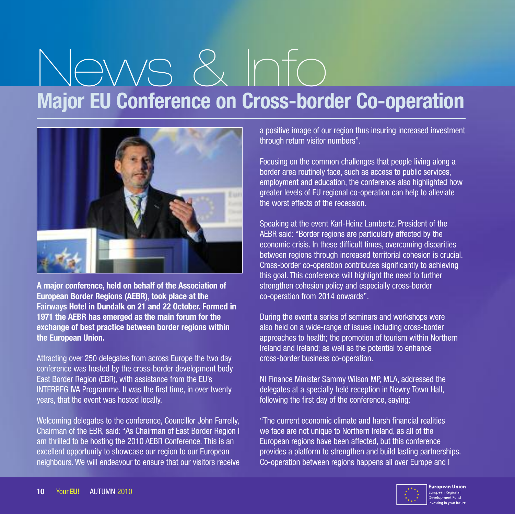# News & Info **Major EU Conference on Cross-border Co-operation**



**A major conference, held on behalf of the Association of European Border Regions (AEBR), took place at the Fairways Hotel in Dundalk on 21 and 22 October. Formed in 1971 the AEBR has emerged as the main forum for the exchange of best practice between border regions within the European Union.**

Attracting over 250 delegates from across Europe the two day conference was hosted by the cross-border development body East Border Region (EBR), with assistance from the EU's INTERREG IVA Programme. It was the first time, in over twenty years, that the event was hosted locally.

Welcoming delegates to the conference, Councillor John Farrelly, Chairman of the EBR, said: "As Chairman of East Border Region I am thrilled to be hosting the 2010 AEBR Conference. This is an excellent opportunity to showcase our region to our European neighbours. We will endeavour to ensure that our visitors receive a positive image of our region thus insuring increased investment through return visitor numbers".

Focusing on the common challenges that people living along a border area routinely face, such as access to public services, employment and education, the conference also highlighted how greater levels of EU regional co-operation can help to alleviate the worst effects of the recession.

Speaking at the event Karl-Heinz Lambertz, President of the AEBR said: "Border regions are particularly affected by the economic crisis. In these difficult times, overcoming disparities between regions through increased territorial cohesion is crucial. Cross-border co-operation contributes significantly to achieving this goal. This conference will highlight the need to further strengthen cohesion policy and especially cross-border co-operation from 2014 onwards".

During the event a series of seminars and workshops were also held on a wide-range of issues including cross-border approaches to health; the promotion of tourism within Northern Ireland and Ireland; as well as the potential to enhance cross-border business co-operation.

NI Finance Minister Sammy Wilson MP, MLA, addressed the delegates at a specially held reception in Newry Town Hall, following the first day of the conference, saying:

"The current economic climate and harsh financial realities we face are not unique to Northern Ireland, as all of the European regions have been affected, but this conference provides a platform to strengthen and build lasting partnerships. Co-operation between regions happens all over Europe and I

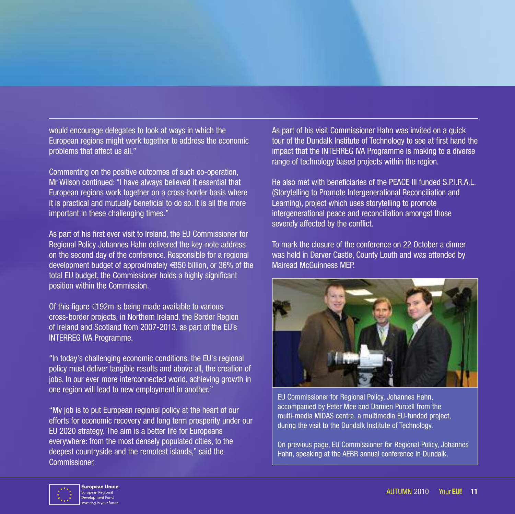would encourage delegates to look at ways in which the European regions might work together to address the economic problems that affect us all."

Commenting on the positive outcomes of such co-operation, Mr Wilson continued: "I have always believed it essential that European regions work together on a cross-border basis where it is practical and mutually beneficial to do so. It is all the more important in these challenging times."

As part of his first ever visit to Ireland, the EU Commissioner for Regional Policy Johannes Hahn delivered the key-note address on the second day of the conference. Responsible for a regional development budget of approximately €350 billion, or 36% of the total EU budget, the Commissioner holds a highly significant position within the Commission.

Of this figure  $\in$  92m is being made available to various cross-border projects, in Northern Ireland, the Border Region of Ireland and Scotland from 2007-2013, as part of the EU's INTERREG IVA Programme.

"In today's challenging economic conditions, the EU's regional policy must deliver tangible results and above all, the creation of jobs. In our ever more interconnected world, achieving growth in one region will lead to new employment in another."

"My job is to put European regional policy at the heart of our efforts for economic recovery and long term prosperity under our EU 2020 strategy. The aim is a better life for Europeans everywhere: from the most densely populated cities, to the deepest countryside and the remotest islands," said the Commissioner.

As part of his visit Commissioner Hahn was invited on a quick tour of the Dundalk Institute of Technology to see at first hand the impact that the INTERREG IVA Programme is making to a diverse range of technology based projects within the region.

He also met with beneficiaries of the PEACE III funded S.P.I.R.A.L. (Storytelling to Promote Intergenerational Reconciliation and Learning), project which uses storytelling to promote intergenerational peace and reconciliation amongst those severely affected by the conflict.

To mark the closure of the conference on 22 October a dinner was held in Darver Castle, County Louth and was attended by Mairead McGuinness MEP.



EU Commissioner for Regional Policy, Johannes Hahn, accompanied by Peter Mee and Damien Purcell from the multi-media MIDAS centre, a multimedia EU-funded project, during the visit to the Dundalk Institute of Technology.

On previous page, EU Commissioner for Regional Policy, Johannes Hahn, speaking at the AEBR annual conference in Dundalk.

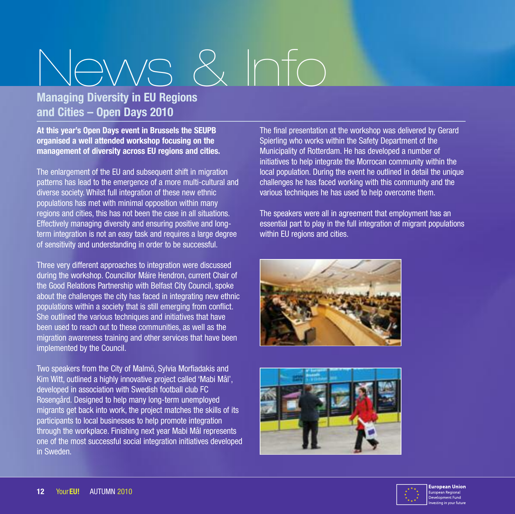# News & Info

### **Managing Diversity in EU Regions and Cities – Open Days 2010**

**At this year's Open Days event in Brussels the SEUPB organised a well attended workshop focusing on the management of diversity across EU regions and cities.**

The enlargement of the EU and subsequent shift in migration patterns has lead to the emergence of a more multi-cultural and diverse society. Whilst full integration of these new ethnic populations has met with minimal opposition within many regions and cities, this has not been the case in all situations. Effectively managing diversity and ensuring positive and longterm integration is not an easy task and requires a large degree of sensitivity and understanding in order to be successful.

Three very different approaches to integration were discussed during the workshop. Councillor Máire Hendron, current Chair of the Good Relations Partnership with Belfast City Council, spoke about the challenges the city has faced in integrating new ethnic populations within a society that is still emerging from conflict. She outlined the various techniques and initiatives that have been used to reach out to these communities, as well as the migration awareness training and other services that have been implemented by the Council.

Two speakers from the City of Malmö, Sylvia Morfiadakis and Kim Witt, outlined a highly innovative project called 'Mabi Mål', developed in association with Swedish football club FC Rosengård. Designed to help many long-term unemployed migrants get back into work, the project matches the skills of its participants to local businesses to help promote integration through the workplace. Finishing next year Mabi Mål represents one of the most successful social integration initiatives developed in Sweden.

The final presentation at the workshop was delivered by Gerard Spierling who works within the Safety Department of the Municipality of Rotterdam. He has developed a number of initiatives to help integrate the Morrocan community within the local population. During the event he outlined in detail the unique challenges he has faced working with this community and the various techniques he has used to help overcome them.

The speakers were all in agreement that employment has an essential part to play in the full integration of migrant populations within EU regions and cities.





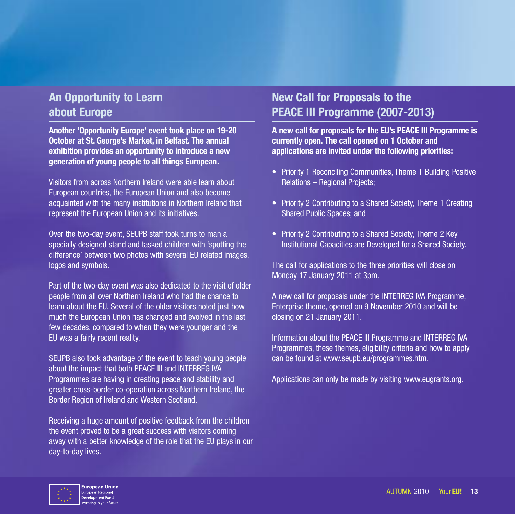### **An Opportunity to Learn about Europe**

**Another 'Opportunity Europe' event took place on 19-20 October at St. George's Market, in Belfast. The annual exhibition provides an opportunity to introduce a new generation of young people to all things European.**

Visitors from across Northern Ireland were able learn about European countries, the European Union and also become acquainted with the many institutions in Northern Ireland that represent the European Union and its initiatives.

Over the two-day event, SEUPB staff took turns to man a specially designed stand and tasked children with 'spotting the difference' between two photos with several EU related images, logos and symbols.

Part of the two-day event was also dedicated to the visit of older people from all over Northern Ireland who had the chance to learn about the EU. Several of the older visitors noted just how much the European Union has changed and evolved in the last few decades, compared to when they were younger and the EU was a fairly recent reality.

SEUPB also took advantage of the event to teach young people about the impact that both PEACE III and INTERREG IVA Programmes are having in creating peace and stability and greater cross-border co-operation across Northern Ireland, the Border Region of Ireland and Western Scotland.

Receiving a huge amount of positive feedback from the children the event proved to be a great success with visitors coming away with a better knowledge of the role that the EU plays in our day-to-day lives.

### **New Call for Proposals to the PEACE III Programme (2007-2013)**

**A new call for proposals for the EU's PEACE III Programme is currently open. The call opened on 1 October and applications are invited under the following priorities:**

- Priority 1 Reconciling Communities, Theme 1 Building Positive Relations – Regional Projects;
- Priority 2 Contributing to a Shared Society, Theme 1 Creating Shared Public Spaces; and
- Priority 2 Contributing to a Shared Society, Theme 2 Key Institutional Capacities are Developed for a Shared Society.

The call for applications to the three priorities will close on Monday 17 January 2011 at 3pm.

A new call for proposals under the INTERREG IVA Programme, Enterprise theme, opened on 9 November 2010 and will be closing on 21 January 2011.

Information about the PEACE III Programme and INTERREG IVA Programmes, these themes, eligibility criteria and how to apply can be found at www.seupb.eu/programmes.htm.

Applications can only be made by visiting www.eugrants.org.

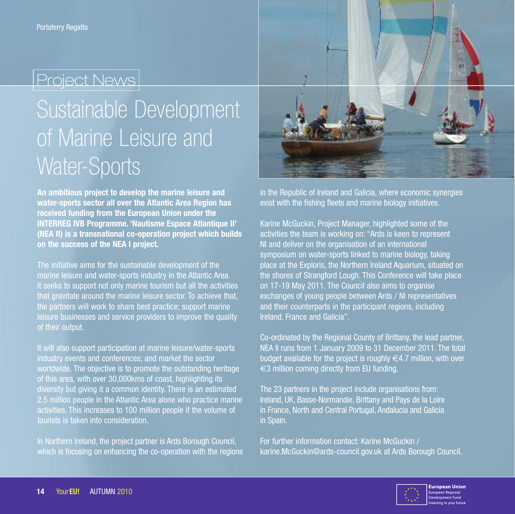# Sustainable Development of Marine Leisure and Water-Sports

**An ambitious project to develop the marine leisure and water-sports sector all over the Atlantic Area Region has received funding from the European Union under the INTERREG IVB Programme. 'Nautisme Espace Atlantique II' (NEA II) is a transnational co-operation project which builds on the success of the NEA I project.**

The initiative aims for the sustainable development of the marine leisure and water-sports industry in the Atlantic Area. It seeks to support not only marine tourism but all the activities that gravitate around the marine leisure sector. To achieve that, the partners will work to share best practice; support marine leisure businesses and service providers to improve the quality of their output.

It will also support participation at marine leisure/water-sports industry events and conferences; and market the sector worldwide. The objective is to promote the outstanding heritage of this area, with over 30,000kms of coast, highlighting its diversity but giving it a common identity. There is an estimated 2.5 million people in the Atlantic Area alone who practice marine activities. This increases to 100 million people if the volume of tourists is taken into consideration.

In Northern Ireland, the project partner is Ards Borough Council, which is focusing on enhancing the co-operation with the regions



in the Republic of Ireland and Galicia, where economic synergies exist with the fishing fleets and marine biology initiatives.

Karine McGuckin, Project Manager, highlighted some of the activities the team is working on: "Ards is keen to represent NI and deliver on the organisation of an international symposium on water-sports linked to marine biology, taking place at the Exploris, the Northern Ireland Aquarium, situated on the shores of Strangford Lough. This Conference will take place on 17-19 May 2011. The Council also aims to organise exchanges of young people between Ards / NI representatives and their counterparts in the participant regions, including Ireland, France and Galicia".

Co-ordinated by the Regional County of Brittany, the lead partner, NEA II runs from 1 January 2009 to 31 December 2011. The total budget available for the project is roughly  $\in$  4.7 million, with over  $\epsilon$ 3 million coming directly from EU funding.

The 23 partners in the project include organisations from: Ireland, UK, Basse-Normandie, Brittany and Pays de la Loire in France, North and Central Portugal, Andalucia and Galicia in Spain.

For further information contact: Karine McGuckin / karine.McGuckin@ards-council.gov.uk at Ards Borough Council.

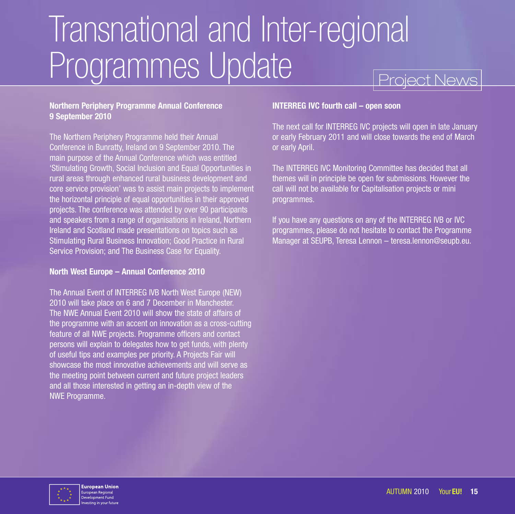# Project News Transnational and Inter-regional Programmes Update

#### **Northern Periphery Programme Annual Conference 9 September 2010**

The Northern Periphery Programme held their Annual Conference in Bunratty, Ireland on 9 September 2010. The main purpose of the Annual Conference which was entitled 'Stimulating Growth, Social Inclusion and Equal Opportunities in rural areas through enhanced rural business development and core service provision' was to assist main projects to implement the horizontal principle of equal opportunities in their approved projects. The conference was attended by over 90 participants and speakers from a range of organisations in Ireland, Northern Ireland and Scotland made presentations on topics such as Stimulating Rural Business Innovation; Good Practice in Rural Service Provision; and The Business Case for Equality.

#### **North West Europe – Annual Conference 2010**

The Annual Event of INTERREG IVB North West Europe (NEW) 2010 will take place on 6 and 7 December in Manchester. The NWE Annual Event 2010 will show the state of affairs of the programme with an accent on innovation as a cross-cutting feature of all NWE projects. Programme officers and contact persons will explain to delegates how to get funds, with plenty of useful tips and examples per priority. A Projects Fair will showcase the most innovative achievements and will serve as the meeting point between current and future project leaders and all those interested in getting an in-depth view of the NWE Programme.

#### **INTERREG IVC fourth call – open soon**

The next call for INTERREG IVC projects will open in late January or early February 2011 and will close towards the end of March or early April.

The INTERREG IVC Monitoring Committee has decided that all themes will in principle be open for submissions. However the call will not be available for Capitalisation projects or mini programmes.

If you have any questions on any of the INTERREG IVB or IVC programmes, please do not hesitate to contact the Programme Manager at SEUPB, Teresa Lennon – teresa.lennon@seupb.eu.

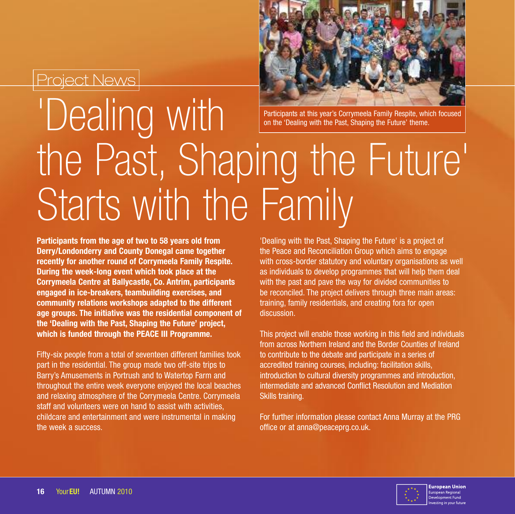

Participants at this year's Corrymeela Family Respite, which focused on the 'Dealing with the Past, Shaping the Future' theme.

# 'Dealing with the Past, Shaping the Future' Starts with the Family

**Participants from the age of two to 58 years old from Derry/Londonderry and County Donegal came together recently for another round of Corrymeela Family Respite. During the week-long event which took place at the Corrymeela Centre at Ballycastle, Co. Antrim, participants engaged in ice-breakers, teambuilding exercises, and community relations workshops adapted to the different age groups. The initiative was the residential component of the 'Dealing with the Past, Shaping the Future' project, which is funded through the PEACE III Programme.**

Fifty-six people from a total of seventeen different families took part in the residential. The group made two off-site trips to Barry's Amusements in Portrush and to Watertop Farm and throughout the entire week everyone enjoyed the local beaches and relaxing atmosphere of the Corrymeela Centre. Corrymeela staff and volunteers were on hand to assist with activities, childcare and entertainment and were instrumental in making the week a success.

'Dealing with the Past, Shaping the Future' is a project of the Peace and Reconciliation Group which aims to engage with cross-border statutory and voluntary organisations as well as individuals to develop programmes that will help them deal with the past and pave the way for divided communities to be reconciled. The project delivers through three main areas: training, family residentials, and creating fora for open discussion.

This project will enable those working in this field and individuals from across Northern Ireland and the Border Counties of Ireland to contribute to the debate and participate in a series of accredited training courses, including: facilitation skills, introduction to cultural diversity programmes and introduction, intermediate and advanced Conflict Resolution and Mediation Skills training.

For further information please contact Anna Murray at the PRG office or at anna@peaceprg.co.uk.

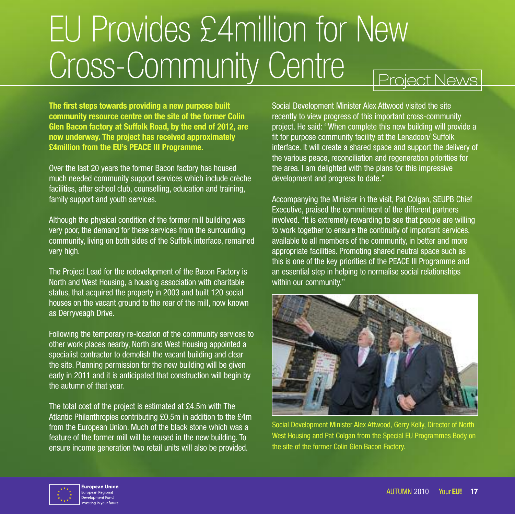# EU Provides £4million for New Cross-Community Centre **Project News**

**The first steps towards providing a new purpose built community resource centre on the site of the former Colin Glen Bacon factory at Suffolk Road, by the end of 2012, are now underway. The project has received approximately £4million from the EU's PEACE III Programme.**

Over the last 20 years the former Bacon factory has housed much needed community support services which include crèche facilities, after school club, counselling, education and training, family support and youth services.

Although the physical condition of the former mill building was very poor, the demand for these services from the surrounding community, living on both sides of the Suffolk interface, remained very high.

The Project Lead for the redevelopment of the Bacon Factory is North and West Housing, a housing association with charitable status, that acquired the property in 2003 and built 120 social houses on the vacant ground to the rear of the mill, now known as Derryveagh Drive.

Following the temporary re-location of the community services to other work places nearby, North and West Housing appointed a specialist contractor to demolish the vacant building and clear the site. Planning permission for the new building will be given early in 2011 and it is anticipated that construction will begin by the autumn of that year.

The total cost of the project is estimated at £4.5m with The Atlantic Philanthropies contributing £0.5m in addition to the £4m from the European Union. Much of the black stone which was a feature of the former mill will be reused in the new building. To ensure income generation two retail units will also be provided.

Social Development Minister Alex Attwood visited the site recently to view progress of this important cross-community project. He said: ''When complete this new building will provide a fit for purpose community facility at the Lenadoon/ Suffolk interface. It will create a shared space and support the delivery of the various peace, reconciliation and regeneration priorities for the area. I am delighted with the plans for this impressive development and progress to date."

Accompanying the Minister in the visit, Pat Colgan, SEUPB Chief Executive, praised the commitment of the different partners involved. "It is extremely rewarding to see that people are willing to work together to ensure the continuity of important services, available to all members of the community, in better and more appropriate facilities. Promoting shared neutral space such as this is one of the key priorities of the PEACE III Programme and an essential step in helping to normalise social relationships within our community."



Social Development Minister Alex Attwood, Gerry Kelly, Director of North West Housing and Pat Colgan from the Special EU Programmes Body on the site of the former Colin Glen Bacon Factory.

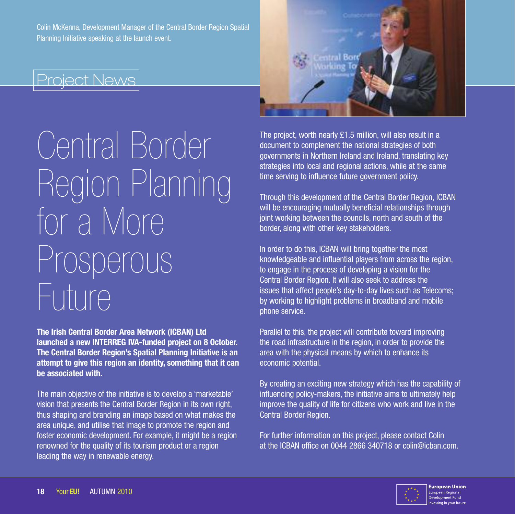Colin McKenna, Development Manager of the Central Border Region Spatial Planning Initiative speaking at the launch event.

### Project News

# Central Border Region Planning for a More Prosperous Future

**The Irish Central Border Area Network (ICBAN) Ltd launched a new INTERREG IVA-funded project on 8 October. The Central Border Region's Spatial Planning Initiative is an attempt to give this region an identity, something that it can be associated with.**

The main objective of the initiative is to develop a 'marketable' vision that presents the Central Border Region in its own right, thus shaping and branding an image based on what makes the area unique, and utilise that image to promote the region and foster economic development. For example, it might be a region renowned for the quality of its tourism product or a region leading the way in renewable energy.



The project, worth nearly £1.5 million, will also result in a document to complement the national strategies of both governments in Northern Ireland and Ireland, translating key strategies into local and regional actions, while at the same time serving to influence future government policy.

Through this development of the Central Border Region, ICBAN will be encouraging mutually beneficial relationships through joint working between the councils, north and south of the border, along with other key stakeholders.

In order to do this, ICBAN will bring together the most knowledgeable and influential players from across the region, to engage in the process of developing a vision for the Central Border Region. It will also seek to address the issues that affect people's day-to-day lives such as Telecoms; by working to highlight problems in broadband and mobile phone service.

Parallel to this, the project will contribute toward improving the road infrastructure in the region, in order to provide the area with the physical means by which to enhance its economic potential.

By creating an exciting new strategy which has the capability of influencing policy-makers, the initiative aims to ultimately help improve the quality of life for citizens who work and live in the Central Border Region.

For further information on this project, please contact Colin at the ICBAN office on 0044 2866 340718 or colin@icban.com.

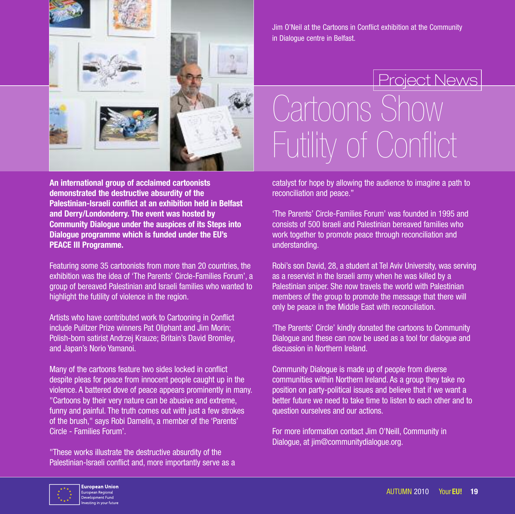

**An international group of acclaimed cartoonists demonstrated the destructive absurdity of the Palestinian-Israeli conflict at an exhibition held in Belfast and Derry/Londonderry. The event was hosted by Community Dialogue under the auspices of its Steps into Dialogue programme which is funded under the EU's PEACE III Programme.**

Featuring some 35 cartoonists from more than 20 countries, the exhibition was the idea of 'The Parents' Circle-Families Forum', a group of bereaved Palestinian and Israeli families who wanted to highlight the futility of violence in the region.

Artists who have contributed work to Cartooning in Conflict include Pulitzer Prize winners Pat Oliphant and Jim Morin; Polish-born satirist Andrzej Krauze; Britain's David Bromley, and Japan's Norio Yamanoi.

Many of the cartoons feature two sides locked in conflict despite pleas for peace from innocent people caught up in the violence. A battered dove of peace appears prominently in many. "Cartoons by their very nature can be abusive and extreme, funny and painful. The truth comes out with just a few strokes of the brush," says Robi Damelin, a member of the 'Parents' Circle - Families Forum'.

"These works illustrate the destructive absurdity of the Palestinian-Israeli conflict and, more importantly serve as a Jim O'Neil at the Cartoons in Conflict exhibition at the Community in Dialogue centre in Belfast.

# Project News Cartoons Show Futility of Conflict

catalyst for hope by allowing the audience to imagine a path to reconciliation and peace."

'The Parents' Circle-Families Forum' was founded in 1995 and consists of 500 Israeli and Palestinian bereaved families who work together to promote peace through reconciliation and understanding.

Robi's son David, 28, a student at Tel Aviv University, was serving as a reservist in the Israeli army when he was killed by a Palestinian sniper. She now travels the world with Palestinian members of the group to promote the message that there will only be peace in the Middle East with reconciliation.

'The Parents' Circle' kindly donated the cartoons to Community Dialogue and these can now be used as a tool for dialogue and discussion in Northern Ireland.

Community Dialogue is made up of people from diverse communities within Northern Ireland. As a group they take no position on party-political issues and believe that if we want a better future we need to take time to listen to each other and to question ourselves and our actions.

For more information contact Jim O'Neill, Community in Dialogue, at jim@communitydialogue.org.